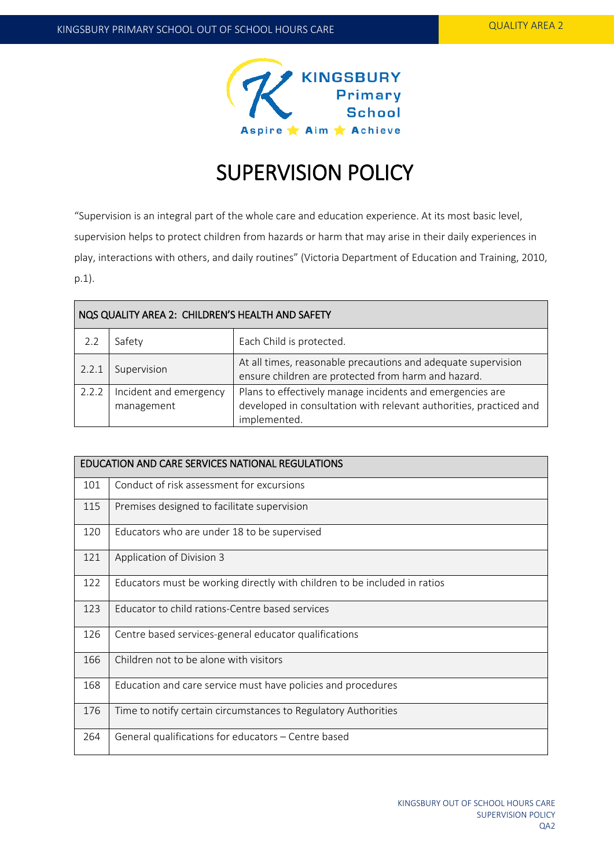

# SUPERVISION POLICY

"Supervision is an integral part of the whole care and education experience. At its most basic level, supervision helps to protect children from hazards or harm that may arise in their daily experiences in play, interactions with others, and daily routines" (Victoria Department of Education and Training, 2010, p.1).

| NOS QUALITY AREA 2: CHILDREN'S HEALTH AND SAFETY |                                      |                                                                                                                                                 |  |  |
|--------------------------------------------------|--------------------------------------|-------------------------------------------------------------------------------------------------------------------------------------------------|--|--|
| 2.2                                              | Safety                               | Each Child is protected.                                                                                                                        |  |  |
| 2.2.1                                            | Supervision                          | At all times, reasonable precautions and adequate supervision<br>ensure children are protected from harm and hazard.                            |  |  |
| 2.2.2                                            | Incident and emergency<br>management | Plans to effectively manage incidents and emergencies are<br>developed in consultation with relevant authorities, practiced and<br>implemented. |  |  |

| <b>EDUCATION AND CARE SERVICES NATIONAL REGULATIONS</b> |                                                                           |  |  |
|---------------------------------------------------------|---------------------------------------------------------------------------|--|--|
| 101                                                     | Conduct of risk assessment for excursions                                 |  |  |
| 115                                                     | Premises designed to facilitate supervision                               |  |  |
| 120                                                     | Educators who are under 18 to be supervised                               |  |  |
| 121                                                     | Application of Division 3                                                 |  |  |
| 122                                                     | Educators must be working directly with children to be included in ratios |  |  |
| 123                                                     | Educator to child rations-Centre based services                           |  |  |
| 126                                                     | Centre based services-general educator qualifications                     |  |  |
| 166                                                     | Children not to be alone with visitors                                    |  |  |
| 168                                                     | Education and care service must have policies and procedures              |  |  |
| 176                                                     | Time to notify certain circumstances to Regulatory Authorities            |  |  |
| 264                                                     | General qualifications for educators - Centre based                       |  |  |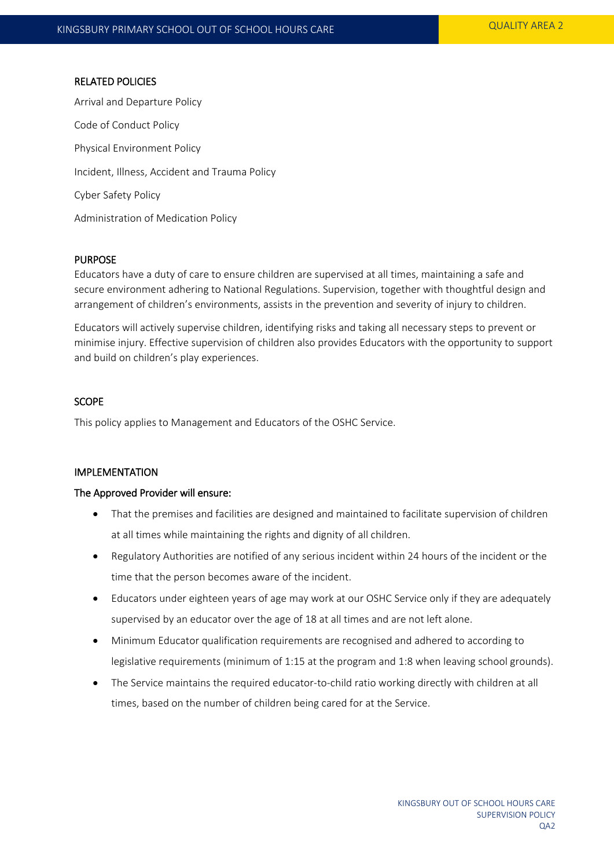#### RELATED POLICIES

Arrival and Departure Policy Code of Conduct Policy Physical Environment Policy Incident, Illness, Accident and Trauma Policy Cyber Safety Policy Administration of Medication Policy

#### PURPOSE

Educators have a duty of care to ensure children are supervised at all times, maintaining a safe and secure environment adhering to National Regulations. Supervision, together with thoughtful design and arrangement of children's environments, assists in the prevention and severity of injury to children.

Educators will actively supervise children, identifying risks and taking all necessary steps to prevent or minimise injury. Effective supervision of children also provides Educators with the opportunity to support and build on children's play experiences.

### **SCOPE**

This policy applies to Management and Educators of the OSHC Service.

#### IMPLEMENTATION

#### The Approved Provider will ensure:

- That the premises and facilities are designed and maintained to facilitate supervision of children at all times while maintaining the rights and dignity of all children.
- Regulatory Authorities are notified of any serious incident within 24 hours of the incident or the time that the person becomes aware of the incident.
- Educators under eighteen years of age may work at our OSHC Service only if they are adequately supervised by an educator over the age of 18 at all times and are not left alone.
- Minimum Educator qualification requirements are recognised and adhered to according to legislative requirements (minimum of 1:15 at the program and 1:8 when leaving school grounds).
- The Service maintains the required educator-to-child ratio working directly with children at all times, based on the number of children being cared for at the Service.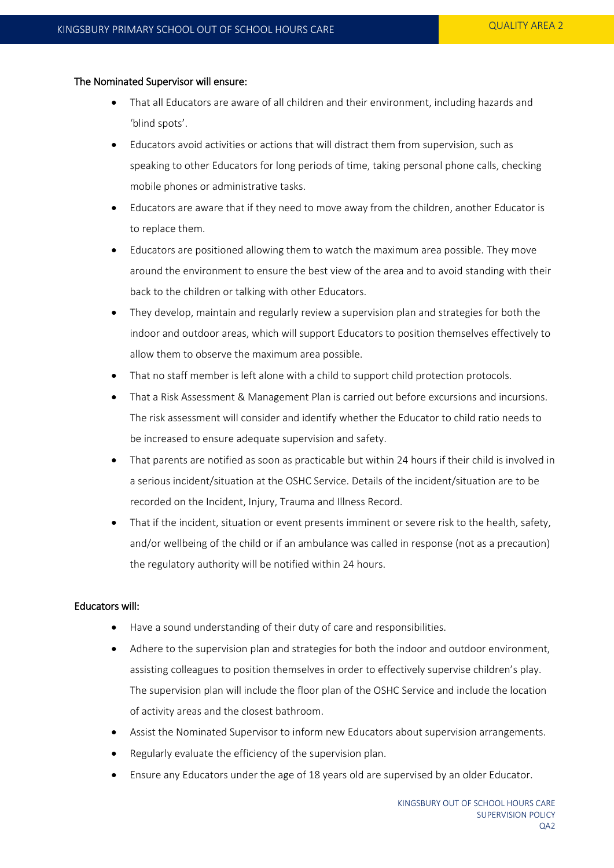#### The Nominated Supervisor will ensure:

- That all Educators are aware of all children and their environment, including hazards and 'blind spots'.
- Educators avoid activities or actions that will distract them from supervision, such as speaking to other Educators for long periods of time, taking personal phone calls, checking mobile phones or administrative tasks.
- Educators are aware that if they need to move away from the children, another Educator is to replace them.
- Educators are positioned allowing them to watch the maximum area possible. They move around the environment to ensure the best view of the area and to avoid standing with their back to the children or talking with other Educators.
- They develop, maintain and regularly review a supervision plan and strategies for both the indoor and outdoor areas, which will support Educators to position themselves effectively to allow them to observe the maximum area possible.
- That no staff member is left alone with a child to support child protection protocols.
- That a Risk Assessment & Management Plan is carried out before excursions and incursions. The risk assessment will consider and identify whether the Educator to child ratio needs to be increased to ensure adequate supervision and safety.
- That parents are notified as soon as practicable but within 24 hours if their child is involved in a serious incident/situation at the OSHC Service. Details of the incident/situation are to be recorded on the Incident, Injury, Trauma and Illness Record.
- That if the incident, situation or event presents imminent or severe risk to the health, safety, and/or wellbeing of the child or if an ambulance was called in response (not as a precaution) the regulatory authority will be notified within 24 hours.

#### Educators will:

- Have a sound understanding of their duty of care and responsibilities.
- Adhere to the supervision plan and strategies for both the indoor and outdoor environment, assisting colleagues to position themselves in order to effectively supervise children's play. The supervision plan will include the floor plan of the OSHC Service and include the location of activity areas and the closest bathroom.
- Assist the Nominated Supervisor to inform new Educators about supervision arrangements.
- Regularly evaluate the efficiency of the supervision plan.
- Ensure any Educators under the age of 18 years old are supervised by an older Educator.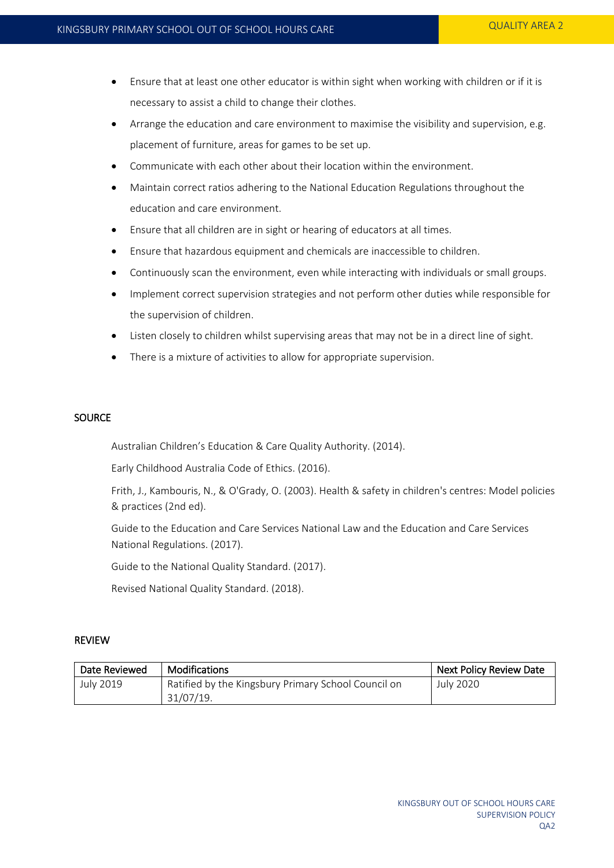- Ensure that at least one other educator is within sight when working with children or if it is necessary to assist a child to change their clothes.
- Arrange the education and care environment to maximise the visibility and supervision, e.g. placement of furniture, areas for games to be set up.
- Communicate with each other about their location within the environment.
- Maintain correct ratios adhering to the National Education Regulations throughout the education and care environment.
- Ensure that all children are in sight or hearing of educators at all times.
- Ensure that hazardous equipment and chemicals are inaccessible to children.
- Continuously scan the environment, even while interacting with individuals or small groups.
- Implement correct supervision strategies and not perform other duties while responsible for the supervision of children.
- Listen closely to children whilst supervising areas that may not be in a direct line of sight.
- There is a mixture of activities to allow for appropriate supervision.

#### **SOURCE**

Australian Children's Education & Care Quality Authority. (2014).

Early Childhood Australia Code of Ethics. (2016).

Frith, J., Kambouris, N., & O'Grady, O. (2003). Health & safety in children's centres: Model policies & practices (2nd ed).

Guide to the Education and Care Services National Law and the Education and Care Services National Regulations. (2017).

Guide to the National Quality Standard. (2017).

Revised National Quality Standard. (2018).

#### REVIEW

| Date Reviewed | Modifications                                       | <b>Next Policy Review Date</b> |
|---------------|-----------------------------------------------------|--------------------------------|
| July 2019     | Ratified by the Kingsbury Primary School Council on | July 2020                      |
|               | 31/07/19.                                           |                                |